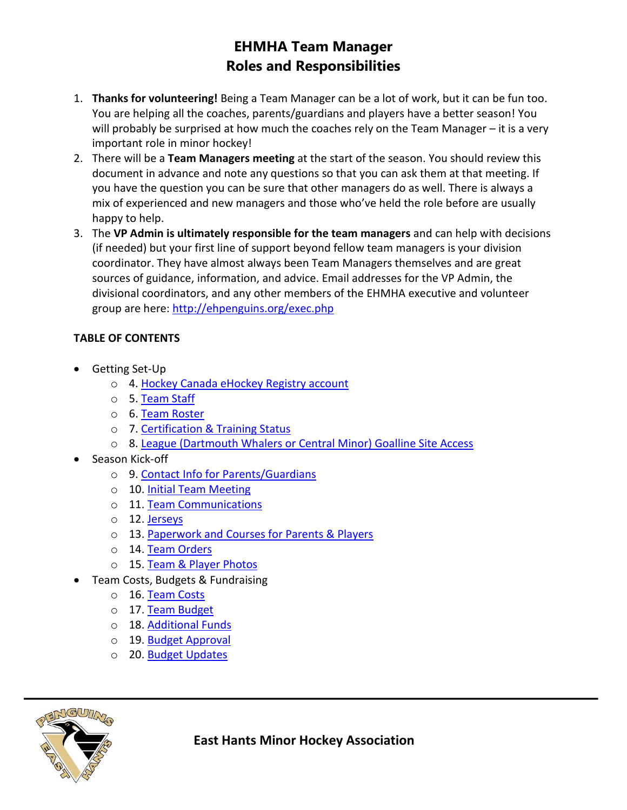# **EHMHA Team Manager Roles and Responsibilities**

- 1. **Thanks for volunteering!** Being a Team Manager can be a lot of work, but it can be fun too. You are helping all the coaches, parents/guardians and players have a better season! You will probably be surprised at how much the coaches rely on the Team Manager – it is a very important role in minor hockey!
- 2. There will be a **Team Managers meeting** at the start of the season. You should review this document in advance and note any questions so that you can ask them at that meeting. If you have the question you can be sure that other managers do as well. There is always a mix of experienced and new managers and those who've held the role before are usually happy to help.
- 3. The **VP Admin is ultimately responsible for the team managers** and can help with decisions (if needed) but your first line of support beyond fellow team managers is your division coordinator. They have almost always been Team Managers themselves and are great sources of guidance, information, and advice. Email addresses for the VP Admin, the divisional coordinators, and any other members of the EHMHA executive and volunteer group are here:<http://ehpenguins.org/exec.php>

# **TABLE OF CONTENTS**

- Getting Set-Up
	- o 4. Hockey Canada eHockey Registry account
	- o 5. Team Staff
	- o 6. Team Roster
	- o 7. Certification & Training Status
	- o 8. League (Dartmouth Whalers or Central Minor) Goalline Site Access
- Season Kick-off
	- o 9. Contact Info for Parents/Guardians
	- o 10. Initial Team Meeting
	- o 11. Team Communications
	- o 12. Jerseys
	- o 13. Paperwork and Courses for Parents & Players
	- o 14. Team Orders
	- o 15. Team & Player Photos
- Team Costs, Budgets & Fundraising
	- o 16. Team Costs
	- o 17. Team Budget
	- o 18. Additional Funds
	- o 19. Budget Approval
	- o 20. Budget Updates



**East Hants Minor Hockey Association**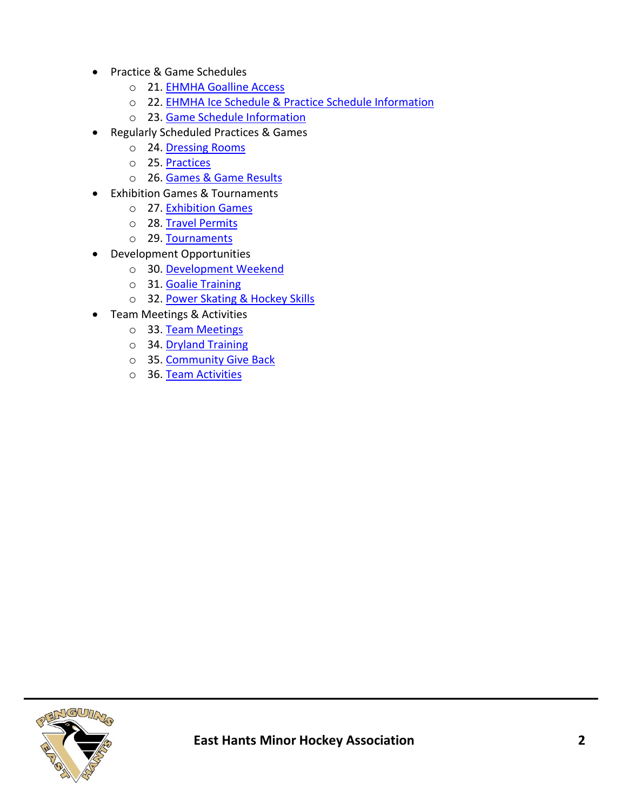- Practice & Game Schedules
	- o 21. EHMHA Goalline Access
	- o 22. EHMHA Ice Schedule & Practice Schedule Information
	- o 23. Game Schedule Information
- Regularly Scheduled Practices & Games
	- o 24. Dressing Rooms
	- o 25. Practices
	- o 26. Games & Game Results
- Exhibition Games & Tournaments
	- o 27. Exhibition Games
	- o 28. Travel Permits
	- o 29. Tournaments
- Development Opportunities
	- o 30. Development Weekend
	- o 31. Goalie Training
	- o 32. Power Skating & Hockey Skills
- Team Meetings & Activities
	- o 33. Team Meetings
	- o 34. Dryland Training
	- o 35. Community Give Back
	- o 36. Team Activities

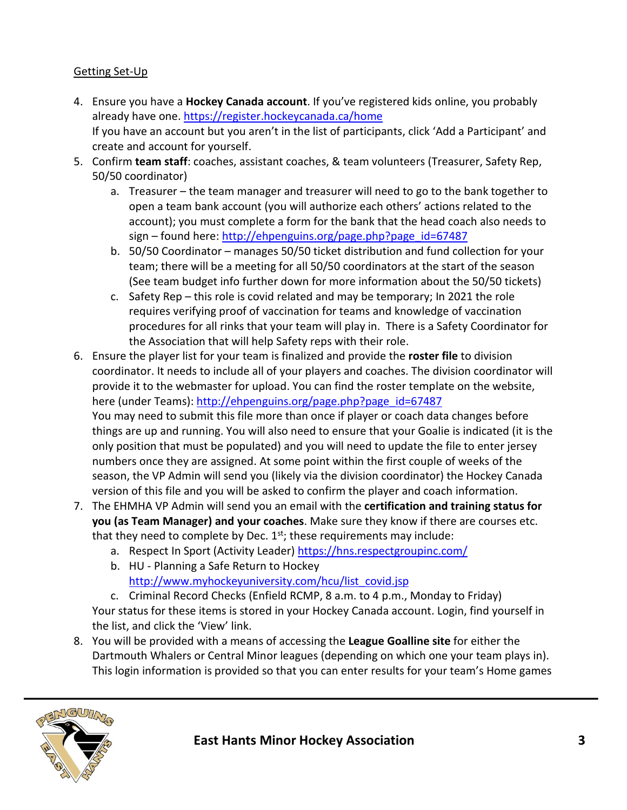# Getting Set-Up

- 4. Ensure you have a **Hockey Canada account**. If you've registered kids online, you probably already have one.<https://register.hockeycanada.ca/home> If you have an account but you aren't in the list of participants, click 'Add a Participant' and create and account for yourself.
- 5. Confirm **team staff**: coaches, assistant coaches, & team volunteers (Treasurer, Safety Rep, 50/50 coordinator)
	- a. Treasurer the team manager and treasurer will need to go to the bank together to open a team bank account (you will authorize each others' actions related to the account); you must complete a form for the bank that the head coach also needs to sign – found here: [http://ehpenguins.org/page.php?page\\_id=67487](http://ehpenguins.org/page.php?page_id=67487)
	- b. 50/50 Coordinator manages 50/50 ticket distribution and fund collection for your team; there will be a meeting for all 50/50 coordinators at the start of the season (See team budget info further down for more information about the 50/50 tickets)
	- c. Safety Rep this role is covid related and may be temporary; In 2021 the role requires verifying proof of vaccination for teams and knowledge of vaccination procedures for all rinks that your team will play in. There is a Safety Coordinator for the Association that will help Safety reps with their role.
- 6. Ensure the player list for your team is finalized and provide the **roster file** to division coordinator. It needs to include all of your players and coaches. The division coordinator will provide it to the webmaster for upload. You can find the roster template on the website, here (under Teams): [http://ehpenguins.org/page.php?page\\_id=67487](http://ehpenguins.org/page.php?page_id=67487) You may need to submit this file more than once if player or coach data changes before things are up and running. You will also need to ensure that your Goalie is indicated (it is the only position that must be populated) and you will need to update the file to enter jersey numbers once they are assigned. At some point within the first couple of weeks of the season, the VP Admin will send you (likely via the division coordinator) the Hockey Canada version of this file and you will be asked to confirm the player and coach information.
- 7. The EHMHA VP Admin will send you an email with the **certification and training status for you (as Team Manager) and your coaches**. Make sure they know if there are courses etc. that they need to complete by Dec.  $1<sup>st</sup>$ ; these requirements may include:
	- a. Respect In Sport (Activity Leader) <https://hns.respectgroupinc.com/>
	- b. HU Planning a Safe Return to Hockey [http://www.myhockeyuniversity.com/hcu/list\\_covid.jsp](http://www.myhockeyuniversity.com/hcu/list_covid.jsp)

c. Criminal Record Checks (Enfield RCMP, 8 a.m. to 4 p.m., Monday to Friday) Your status for these items is stored in your Hockey Canada account. Login, find yourself in the list, and click the 'View' link.

8. You will be provided with a means of accessing the **League Goalline site** for either the Dartmouth Whalers or Central Minor leagues (depending on which one your team plays in). This login information is provided so that you can enter results for your team's Home games

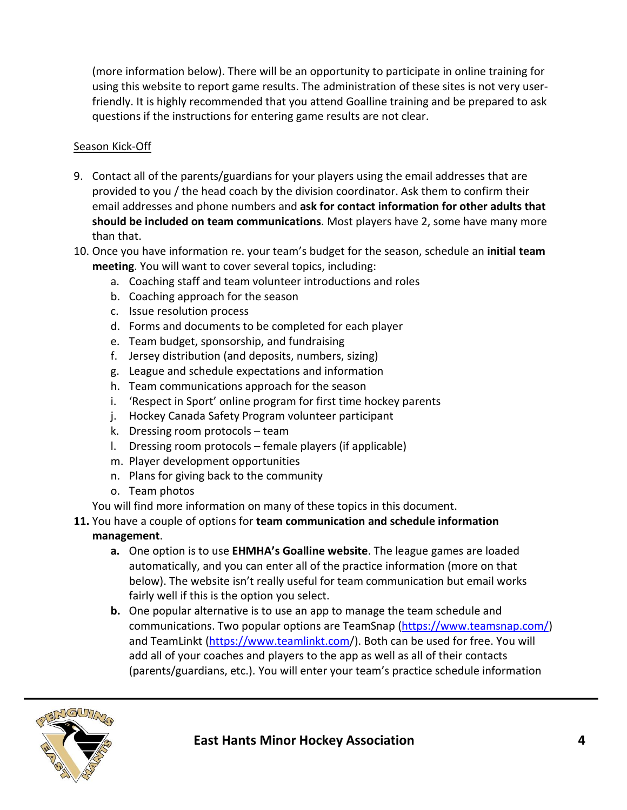(more information below). There will be an opportunity to participate in online training for using this website to report game results. The administration of these sites is not very userfriendly. It is highly recommended that you attend Goalline training and be prepared to ask questions if the instructions for entering game results are not clear.

#### Season Kick-Off

- 9. Contact all of the parents/guardians for your players using the email addresses that are provided to you / the head coach by the division coordinator. Ask them to confirm their email addresses and phone numbers and **ask for contact information for other adults that should be included on team communications**. Most players have 2, some have many more than that.
- 10. Once you have information re. your team's budget for the season, schedule an **initial team meeting**. You will want to cover several topics, including:
	- a. Coaching staff and team volunteer introductions and roles
	- b. Coaching approach for the season
	- c. Issue resolution process
	- d. Forms and documents to be completed for each player
	- e. Team budget, sponsorship, and fundraising
	- f. Jersey distribution (and deposits, numbers, sizing)
	- g. League and schedule expectations and information
	- h. Team communications approach for the season
	- i. 'Respect in Sport' online program for first time hockey parents
	- j. Hockey Canada Safety Program volunteer participant
	- k. Dressing room protocols team
	- l. Dressing room protocols female players (if applicable)
	- m. Player development opportunities
	- n. Plans for giving back to the community
	- o. Team photos

You will find more information on many of these topics in this document.

## **11.** You have a couple of options for **team communication and schedule information**

#### **management**.

- **a.** One option is to use **EHMHA's Goalline website**. The league games are loaded automatically, and you can enter all of the practice information (more on that below). The website isn't really useful for team communication but email works fairly well if this is the option you select.
- **b.** One popular alternative is to use an app to manage the team schedule and communications. Two popular options are TeamSnap [\(https://www.teamsnap.com/\)](https://www.teamsnap.com/) and TeamLinkt [\(https://www.teamlinkt.com/](https://www.teamlinkt.com/)). Both can be used for free. You will add all of your coaches and players to the app as well as all of their contacts (parents/guardians, etc.). You will enter your team's practice schedule information

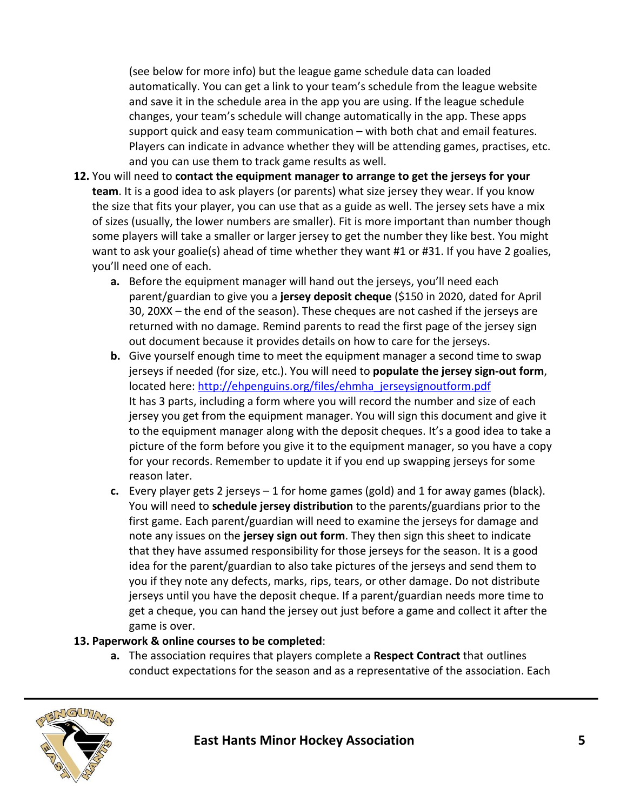(see below for more info) but the league game schedule data can loaded automatically. You can get a link to your team's schedule from the league website and save it in the schedule area in the app you are using. If the league schedule changes, your team's schedule will change automatically in the app. These apps support quick and easy team communication – with both chat and email features. Players can indicate in advance whether they will be attending games, practises, etc. and you can use them to track game results as well.

- **12.** You will need to **contact the equipment manager to arrange to get the jerseys for your team**. It is a good idea to ask players (or parents) what size jersey they wear. If you know the size that fits your player, you can use that as a guide as well. The jersey sets have a mix of sizes (usually, the lower numbers are smaller). Fit is more important than number though some players will take a smaller or larger jersey to get the number they like best. You might want to ask your goalie(s) ahead of time whether they want #1 or #31. If you have 2 goalies, you'll need one of each.
	- **a.** Before the equipment manager will hand out the jerseys, you'll need each parent/guardian to give you a **jersey deposit cheque** (\$150 in 2020, dated for April 30, 20XX – the end of the season). These cheques are not cashed if the jerseys are returned with no damage. Remind parents to read the first page of the jersey sign out document because it provides details on how to care for the jerseys.
	- **b.** Give yourself enough time to meet the equipment manager a second time to swap jerseys if needed (for size, etc.). You will need to **populate the jersey sign-out form**, located here: [http://ehpenguins.org/files/ehmha\\_jerseysignoutform.pdf](http://ehpenguins.org/files/ehmha_jerseysignoutform.pdf) It has 3 parts, including a form where you will record the number and size of each jersey you get from the equipment manager. You will sign this document and give it to the equipment manager along with the deposit cheques. It's a good idea to take a picture of the form before you give it to the equipment manager, so you have a copy for your records. Remember to update it if you end up swapping jerseys for some reason later.
	- **c.** Every player gets 2 jerseys 1 for home games (gold) and 1 for away games (black). You will need to **schedule jersey distribution** to the parents/guardians prior to the first game. Each parent/guardian will need to examine the jerseys for damage and note any issues on the **jersey sign out form**. They then sign this sheet to indicate that they have assumed responsibility for those jerseys for the season. It is a good idea for the parent/guardian to also take pictures of the jerseys and send them to you if they note any defects, marks, rips, tears, or other damage. Do not distribute jerseys until you have the deposit cheque. If a parent/guardian needs more time to get a cheque, you can hand the jersey out just before a game and collect it after the game is over.

#### **13. Paperwork & online courses to be completed**:

**a.** The association requires that players complete a **Respect Contract** that outlines conduct expectations for the season and as a representative of the association. Each

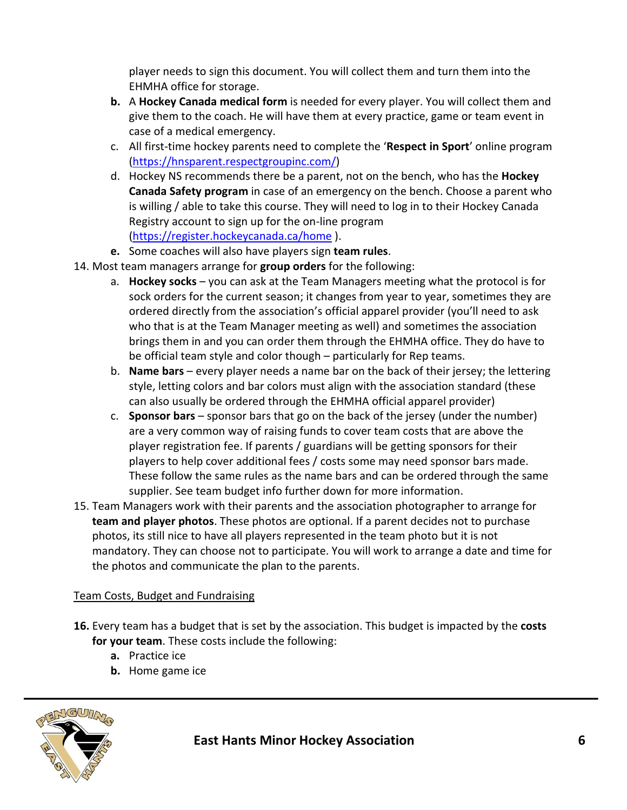player needs to sign this document. You will collect them and turn them into the EHMHA office for storage.

- **b.** A **Hockey Canada medical form** is needed for every player. You will collect them and give them to the coach. He will have them at every practice, game or team event in case of a medical emergency.
- c. All first-time hockey parents need to complete the '**Respect in Sport**' online program [\(https://hnsparent.respectgroupinc.com/\)](https://hnsparent.respectgroupinc.com/)
- d. Hockey NS recommends there be a parent, not on the bench, who has the **Hockey Canada Safety program** in case of an emergency on the bench. Choose a parent who is willing / able to take this course. They will need to log in to their Hockey Canada Registry account to sign up for the on-line program [\(https://register.hockeycanada.ca/home](https://register.hockeycanada.ca/home) ).
- **e.** Some coaches will also have players sign **team rules**.
- 14. Most team managers arrange for **group orders** for the following:
	- a. **Hockey socks** you can ask at the Team Managers meeting what the protocol is for sock orders for the current season; it changes from year to year, sometimes they are ordered directly from the association's official apparel provider (you'll need to ask who that is at the Team Manager meeting as well) and sometimes the association brings them in and you can order them through the EHMHA office. They do have to be official team style and color though – particularly for Rep teams.
	- b. **Name bars** every player needs a name bar on the back of their jersey; the lettering style, letting colors and bar colors must align with the association standard (these can also usually be ordered through the EHMHA official apparel provider)
	- c. **Sponsor bars** sponsor bars that go on the back of the jersey (under the number) are a very common way of raising funds to cover team costs that are above the player registration fee. If parents / guardians will be getting sponsors for their players to help cover additional fees / costs some may need sponsor bars made. These follow the same rules as the name bars and can be ordered through the same supplier. See team budget info further down for more information.
- 15. Team Managers work with their parents and the association photographer to arrange for **team and player photos**. These photos are optional. If a parent decides not to purchase photos, its still nice to have all players represented in the team photo but it is not mandatory. They can choose not to participate. You will work to arrange a date and time for the photos and communicate the plan to the parents.

## Team Costs, Budget and Fundraising

- **16.** Every team has a budget that is set by the association. This budget is impacted by the **costs for your team**. These costs include the following:
	- **a.** Practice ice
	- **b.** Home game ice

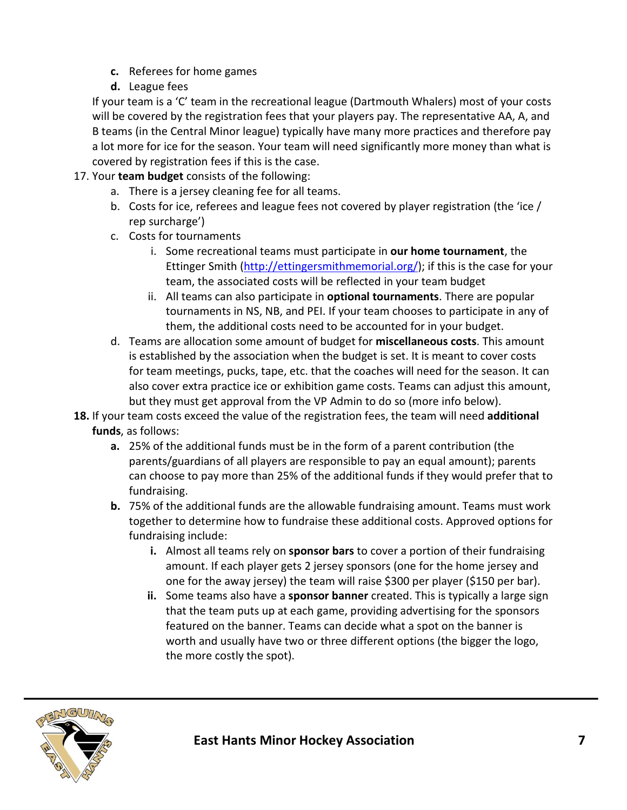- **c.** Referees for home games
- **d.** League fees

If your team is a 'C' team in the recreational league (Dartmouth Whalers) most of your costs will be covered by the registration fees that your players pay. The representative AA, A, and B teams (in the Central Minor league) typically have many more practices and therefore pay a lot more for ice for the season. Your team will need significantly more money than what is covered by registration fees if this is the case.

- 17. Your **team budget** consists of the following:
	- a. There is a jersey cleaning fee for all teams.
	- b. Costs for ice, referees and league fees not covered by player registration (the 'ice / rep surcharge')
	- c. Costs for tournaments
		- i. Some recreational teams must participate in **our home tournament**, the Ettinger Smith [\(http://ettingersmithmemorial.org/\)](http://ettingersmithmemorial.org/); if this is the case for your team, the associated costs will be reflected in your team budget
		- ii. All teams can also participate in **optional tournaments**. There are popular tournaments in NS, NB, and PEI. If your team chooses to participate in any of them, the additional costs need to be accounted for in your budget.
	- d. Teams are allocation some amount of budget for **miscellaneous costs**. This amount is established by the association when the budget is set. It is meant to cover costs for team meetings, pucks, tape, etc. that the coaches will need for the season. It can also cover extra practice ice or exhibition game costs. Teams can adjust this amount, but they must get approval from the VP Admin to do so (more info below).
- **18.** If your team costs exceed the value of the registration fees, the team will need **additional funds**, as follows:
	- **a.** 25% of the additional funds must be in the form of a parent contribution (the parents/guardians of all players are responsible to pay an equal amount); parents can choose to pay more than 25% of the additional funds if they would prefer that to fundraising.
	- **b.** 75% of the additional funds are the allowable fundraising amount. Teams must work together to determine how to fundraise these additional costs. Approved options for fundraising include:
		- **i.** Almost all teams rely on **sponsor bars** to cover a portion of their fundraising amount. If each player gets 2 jersey sponsors (one for the home jersey and one for the away jersey) the team will raise \$300 per player (\$150 per bar).
		- **ii.** Some teams also have a **sponsor banner** created. This is typically a large sign that the team puts up at each game, providing advertising for the sponsors featured on the banner. Teams can decide what a spot on the banner is worth and usually have two or three different options (the bigger the logo, the more costly the spot).

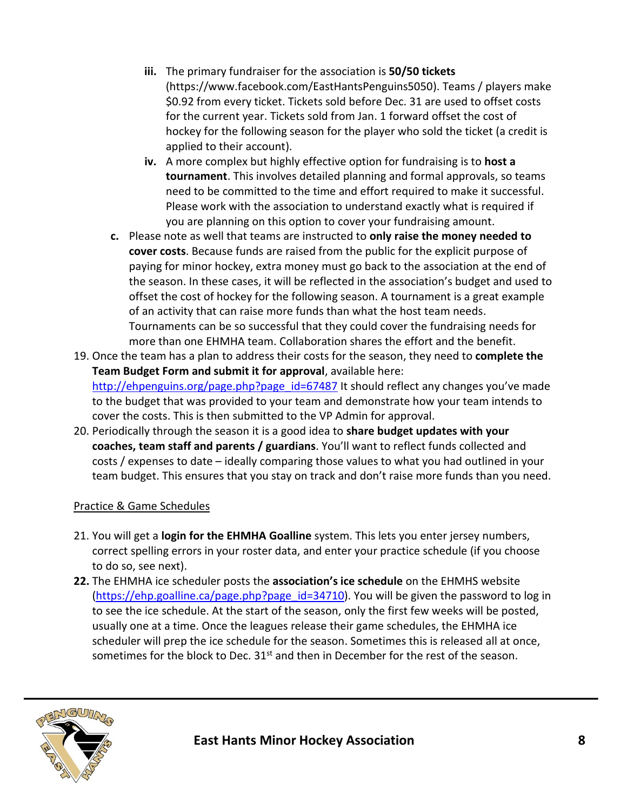- **iii.** The primary fundraiser for the association is **50/50 tickets** (https://www.facebook.com/EastHantsPenguins5050). Teams / players make \$0.92 from every ticket. Tickets sold before Dec. 31 are used to offset costs for the current year. Tickets sold from Jan. 1 forward offset the cost of hockey for the following season for the player who sold the ticket (a credit is applied to their account).
- **iv.** A more complex but highly effective option for fundraising is to **host a tournament**. This involves detailed planning and formal approvals, so teams need to be committed to the time and effort required to make it successful. Please work with the association to understand exactly what is required if you are planning on this option to cover your fundraising amount.
- **c.** Please note as well that teams are instructed to **only raise the money needed to cover costs**. Because funds are raised from the public for the explicit purpose of paying for minor hockey, extra money must go back to the association at the end of the season. In these cases, it will be reflected in the association's budget and used to offset the cost of hockey for the following season. A tournament is a great example of an activity that can raise more funds than what the host team needs. Tournaments can be so successful that they could cover the fundraising needs for more than one EHMHA team. Collaboration shares the effort and the benefit.
- 19. Once the team has a plan to address their costs for the season, they need to **complete the Team Budget Form and submit it for approval**, available here: [http://ehpenguins.org/page.php?page\\_id=67487](http://ehpenguins.org/page.php?page_id=67487) It should reflect any changes you've made to the budget that was provided to your team and demonstrate how your team intends to cover the costs. This is then submitted to the VP Admin for approval.
- 20. Periodically through the season it is a good idea to **share budget updates with your coaches, team staff and parents / guardians**. You'll want to reflect funds collected and costs / expenses to date – ideally comparing those values to what you had outlined in your team budget. This ensures that you stay on track and don't raise more funds than you need.

## Practice & Game Schedules

- 21. You will get a **login for the EHMHA Goalline** system. This lets you enter jersey numbers, correct spelling errors in your roster data, and enter your practice schedule (if you choose to do so, see next).
- **22.** The EHMHA ice scheduler posts the **association's ice schedule** on the EHMHS website [\(https://ehp.goalline.ca/page.php?page\\_id=34710\)](https://ehp.goalline.ca/page.php?page_id=34710). You will be given the password to log in to see the ice schedule. At the start of the season, only the first few weeks will be posted, usually one at a time. Once the leagues release their game schedules, the EHMHA ice scheduler will prep the ice schedule for the season. Sometimes this is released all at once, sometimes for the block to Dec.  $31<sup>st</sup>$  and then in December for the rest of the season.

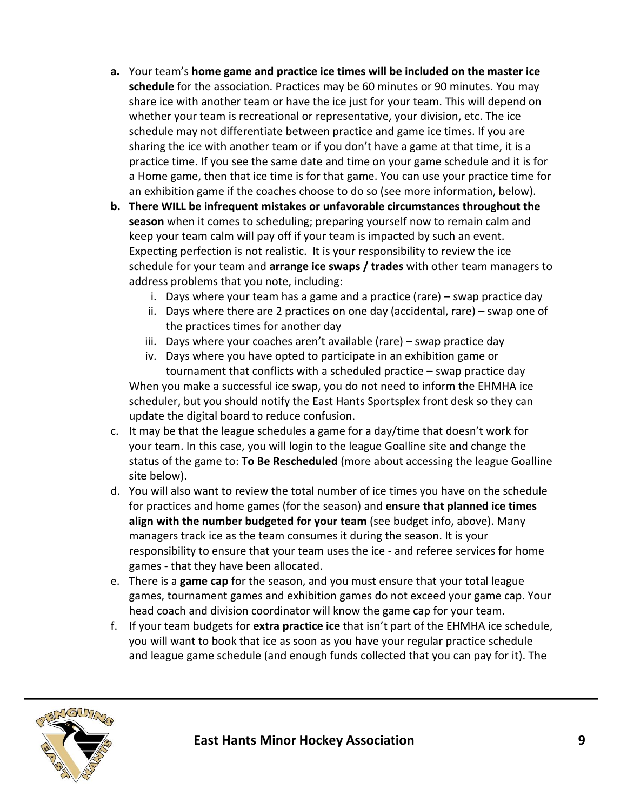- **a.** Your team's **home game and practice ice times will be included on the master ice schedule** for the association. Practices may be 60 minutes or 90 minutes. You may share ice with another team or have the ice just for your team. This will depend on whether your team is recreational or representative, your division, etc. The ice schedule may not differentiate between practice and game ice times. If you are sharing the ice with another team or if you don't have a game at that time, it is a practice time. If you see the same date and time on your game schedule and it is for a Home game, then that ice time is for that game. You can use your practice time for an exhibition game if the coaches choose to do so (see more information, below).
- **b. There WILL be infrequent mistakes or unfavorable circumstances throughout the season** when it comes to scheduling; preparing yourself now to remain calm and keep your team calm will pay off if your team is impacted by such an event. Expecting perfection is not realistic. It is your responsibility to review the ice schedule for your team and **arrange ice swaps / trades** with other team managers to address problems that you note, including:
	- i. Days where your team has a game and a practice (rare) swap practice day
	- ii. Days where there are 2 practices on one day (accidental, rare) swap one of the practices times for another day
	- iii. Days where your coaches aren't available (rare) swap practice day
	- iv. Days where you have opted to participate in an exhibition game or tournament that conflicts with a scheduled practice – swap practice day When you make a successful ice swap, you do not need to inform the EHMHA ice scheduler, but you should notify the East Hants Sportsplex front desk so they can update the digital board to reduce confusion.
- c. It may be that the league schedules a game for a day/time that doesn't work for your team. In this case, you will login to the league Goalline site and change the status of the game to: **To Be Rescheduled** (more about accessing the league Goalline site below).
- d. You will also want to review the total number of ice times you have on the schedule for practices and home games (for the season) and **ensure that planned ice times align with the number budgeted for your team** (see budget info, above). Many managers track ice as the team consumes it during the season. It is your responsibility to ensure that your team uses the ice - and referee services for home games - that they have been allocated.
- e. There is a **game cap** for the season, and you must ensure that your total league games, tournament games and exhibition games do not exceed your game cap. Your head coach and division coordinator will know the game cap for your team.
- f. If your team budgets for **extra practice ice** that isn't part of the EHMHA ice schedule, you will want to book that ice as soon as you have your regular practice schedule and league game schedule (and enough funds collected that you can pay for it). The

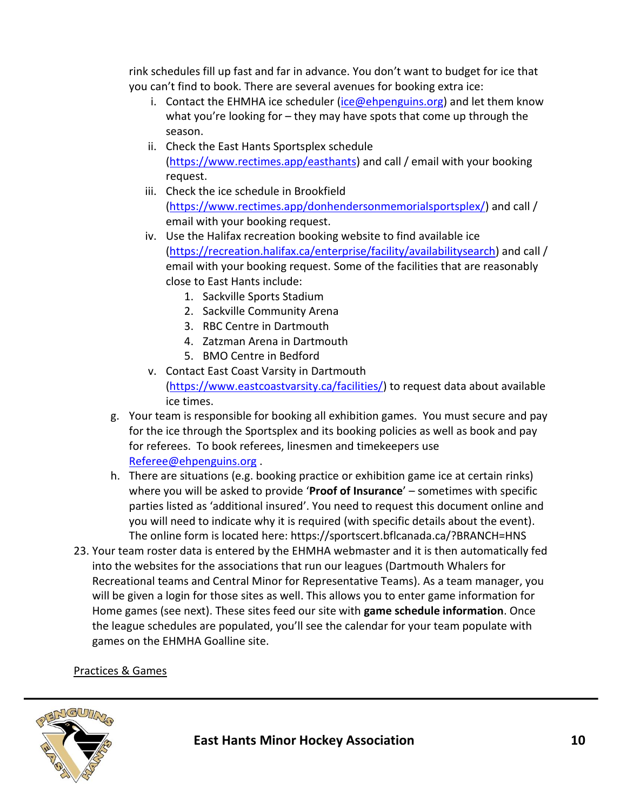rink schedules fill up fast and far in advance. You don't want to budget for ice that you can't find to book. There are several avenues for booking extra ice:

- i. Contact the EHMHA ice scheduler ( $ice@ehpenguins.org$ ) and let them know what you're looking for – they may have spots that come up through the season.
- ii. Check the East Hants Sportsplex schedule [\(https://www.rectimes.app/easthants\)](https://www.rectimes.app/easthants) and call / email with your booking request.
- iii. Check the ice schedule in Brookfield [\(https://www.rectimes.app/donhendersonmemorialsportsplex/\)](https://www.rectimes.app/donhendersonmemorialsportsplex/) and call / email with your booking request.
- iv. Use the Halifax recreation booking website to find available ice [\(https://recreation.halifax.ca/enterprise/facility/availabilitysearch\)](https://recreation.halifax.ca/enterprise/facility/availabilitysearch) and call / email with your booking request. Some of the facilities that are reasonably close to East Hants include:
	- 1. Sackville Sports Stadium
	- 2. Sackville Community Arena
	- 3. RBC Centre in Dartmouth
	- 4. Zatzman Arena in Dartmouth
	- 5. BMO Centre in Bedford
- v. Contact East Coast Varsity in Dartmouth [\(https://www.eastcoastvarsity.ca/facilities/\)](https://www.eastcoastvarsity.ca/facilities/) to request data about available ice times.
- g. Your team is responsible for booking all exhibition games. You must secure and pay for the ice through the Sportsplex and its booking policies as well as book and pay for referees. To book referees, linesmen and timekeepers use [Referee@ehpenguins.org](mailto:Referee@ehpenguins.org) .
- h. There are situations (e.g. booking practice or exhibition game ice at certain rinks) where you will be asked to provide '**Proof of Insurance**' – sometimes with specific parties listed as 'additional insured'. You need to request this document online and you will need to indicate why it is required (with specific details about the event). The online form is located here: https://sportscert.bflcanada.ca/?BRANCH=HNS
- 23. Your team roster data is entered by the EHMHA webmaster and it is then automatically fed into the websites for the associations that run our leagues (Dartmouth Whalers for Recreational teams and Central Minor for Representative Teams). As a team manager, you will be given a login for those sites as well. This allows you to enter game information for Home games (see next). These sites feed our site with **game schedule information**. Once the league schedules are populated, you'll see the calendar for your team populate with games on the EHMHA Goalline site.

## Practices & Games

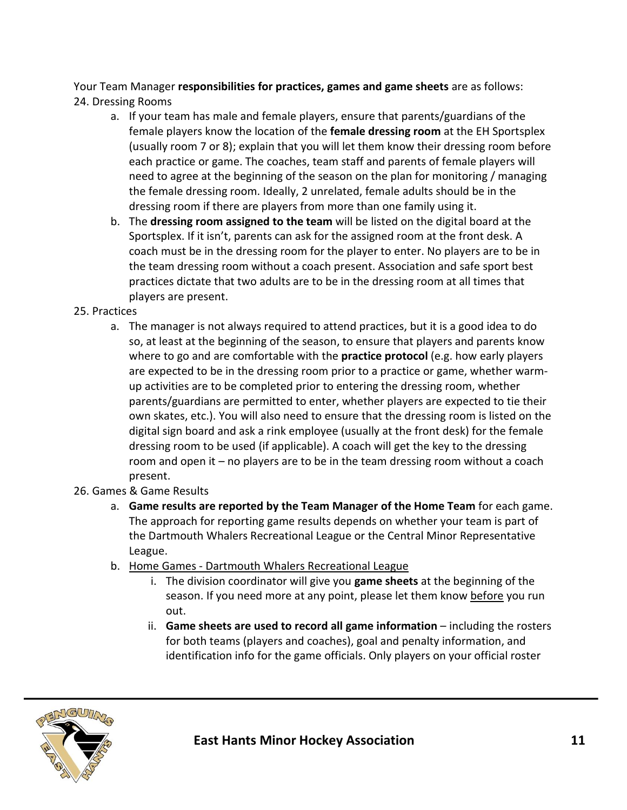Your Team Manager **responsibilities for practices, games and game sheets** are as follows: 24. Dressing Rooms

- a. If your team has male and female players, ensure that parents/guardians of the female players know the location of the **female dressing room** at the EH Sportsplex (usually room 7 or 8); explain that you will let them know their dressing room before each practice or game. The coaches, team staff and parents of female players will need to agree at the beginning of the season on the plan for monitoring / managing the female dressing room. Ideally, 2 unrelated, female adults should be in the dressing room if there are players from more than one family using it.
- b. The **dressing room assigned to the team** will be listed on the digital board at the Sportsplex. If it isn't, parents can ask for the assigned room at the front desk. A coach must be in the dressing room for the player to enter. No players are to be in the team dressing room without a coach present. Association and safe sport best practices dictate that two adults are to be in the dressing room at all times that players are present.

#### 25. Practices

a. The manager is not always required to attend practices, but it is a good idea to do so, at least at the beginning of the season, to ensure that players and parents know where to go and are comfortable with the **practice protocol** (e.g. how early players are expected to be in the dressing room prior to a practice or game, whether warmup activities are to be completed prior to entering the dressing room, whether parents/guardians are permitted to enter, whether players are expected to tie their own skates, etc.). You will also need to ensure that the dressing room is listed on the digital sign board and ask a rink employee (usually at the front desk) for the female dressing room to be used (if applicable). A coach will get the key to the dressing room and open it – no players are to be in the team dressing room without a coach present.

## 26. Games & Game Results

- a. **Game results are reported by the Team Manager of the Home Team** for each game. The approach for reporting game results depends on whether your team is part of the Dartmouth Whalers Recreational League or the Central Minor Representative League.
- b. Home Games Dartmouth Whalers Recreational League
	- i. The division coordinator will give you **game sheets** at the beginning of the season. If you need more at any point, please let them know before you run out.
	- ii. **Game sheets are used to record all game information** including the rosters for both teams (players and coaches), goal and penalty information, and identification info for the game officials. Only players on your official roster

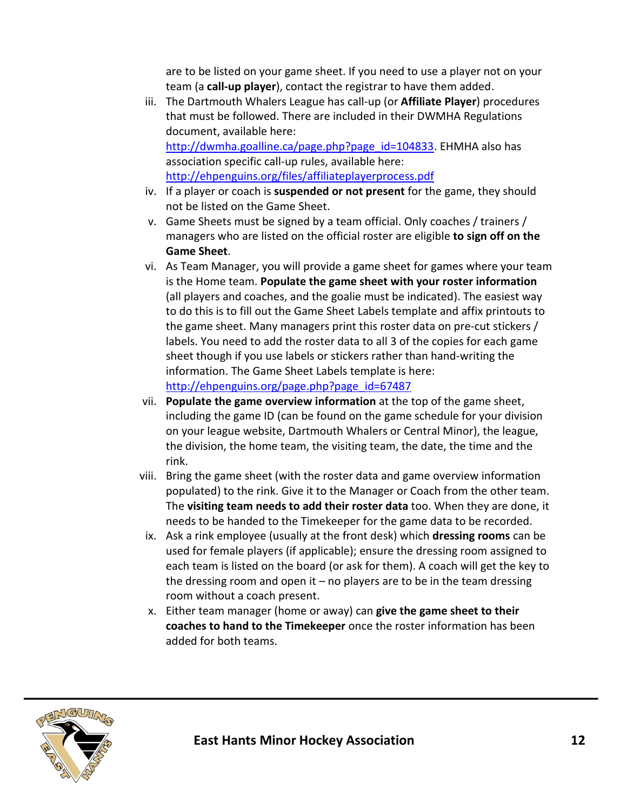are to be listed on your game sheet. If you need to use a player not on your team (a **call-up player**), contact the registrar to have them added.

- iii. The Dartmouth Whalers League has call-up (or **Affiliate Player**) procedures that must be followed. There are included in their DWMHA Regulations document, available here: [http://dwmha.goalline.ca/page.php?page\\_id=104833.](http://dwmha.goalline.ca/page.php?page_id=104833) EHMHA also has association specific call-up rules, available here: <http://ehpenguins.org/files/affiliateplayerprocess.pdf>
- iv. If a player or coach is **suspended or not present** for the game, they should not be listed on the Game Sheet.
- v. Game Sheets must be signed by a team official. Only coaches / trainers / managers who are listed on the official roster are eligible **to sign off on the Game Sheet**.
- vi. As Team Manager, you will provide a game sheet for games where your team is the Home team. **Populate the game sheet with your roster information** (all players and coaches, and the goalie must be indicated). The easiest way to do this is to fill out the Game Sheet Labels template and affix printouts to the game sheet. Many managers print this roster data on pre-cut stickers / labels. You need to add the roster data to all 3 of the copies for each game sheet though if you use labels or stickers rather than hand-writing the information. The Game Sheet Labels template is here: [http://ehpenguins.org/page.php?page\\_id=67487](http://ehpenguins.org/page.php?page_id=67487)
- vii. **Populate the game overview information** at the top of the game sheet, including the game ID (can be found on the game schedule for your division on your league website, Dartmouth Whalers or Central Minor), the league, the division, the home team, the visiting team, the date, the time and the rink.
- viii. Bring the game sheet (with the roster data and game overview information populated) to the rink. Give it to the Manager or Coach from the other team. The **visiting team needs to add their roster data** too. When they are done, it needs to be handed to the Timekeeper for the game data to be recorded.
- ix. Ask a rink employee (usually at the front desk) which **dressing rooms** can be used for female players (if applicable); ensure the dressing room assigned to each team is listed on the board (or ask for them). A coach will get the key to the dressing room and open it – no players are to be in the team dressing room without a coach present.
- x. Either team manager (home or away) can **give the game sheet to their coaches to hand to the Timekeeper** once the roster information has been added for both teams.

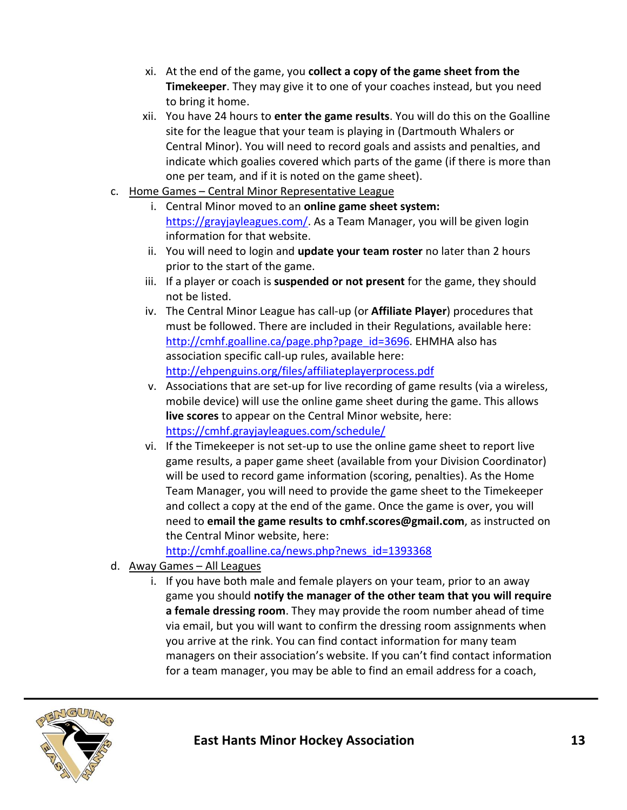- xi. At the end of the game, you **collect a copy of the game sheet from the Timekeeper**. They may give it to one of your coaches instead, but you need to bring it home.
- xii. You have 24 hours to **enter the game results**. You will do this on the Goalline site for the league that your team is playing in (Dartmouth Whalers or Central Minor). You will need to record goals and assists and penalties, and indicate which goalies covered which parts of the game (if there is more than one per team, and if it is noted on the game sheet).
- c. Home Games Central Minor Representative League
	- i. Central Minor moved to an **online game sheet system:**  [https://grayjayleagues.com/.](https://grayjayleagues.com/) As a Team Manager, you will be given login information for that website.
	- ii. You will need to login and **update your team roster** no later than 2 hours prior to the start of the game.
	- iii. If a player or coach is **suspended or not present** for the game, they should not be listed.
	- iv. The Central Minor League has call-up (or **Affiliate Player**) procedures that must be followed. There are included in their Regulations, available here: [http://cmhf.goalline.ca/page.php?page\\_id=3696.](http://cmhf.goalline.ca/page.php?page_id=3696) EHMHA also has association specific call-up rules, available here: <http://ehpenguins.org/files/affiliateplayerprocess.pdf>
	- v. Associations that are set-up for live recording of game results (via a wireless, mobile device) will use the online game sheet during the game. This allows **live scores** to appear on the Central Minor website, here: <https://cmhf.grayjayleagues.com/schedule/>
	- vi. If the Timekeeper is not set-up to use the online game sheet to report live game results, a paper game sheet (available from your Division Coordinator) will be used to record game information (scoring, penalties). As the Home Team Manager, you will need to provide the game sheet to the Timekeeper and collect a copy at the end of the game. Once the game is over, you will need to **email the game results to [cmhf.scores@gmail.com](mailto:cmhf.scores@gmail.com)**, as instructed on the Central Minor website, here:

[http://cmhf.goalline.ca/news.php?news\\_id=1393368](http://cmhf.goalline.ca/news.php?news_id=1393368)

- d. Away Games All Leagues
	- i. If you have both male and female players on your team, prior to an away game you should **notify the manager of the other team that you will require a female dressing room**. They may provide the room number ahead of time via email, but you will want to confirm the dressing room assignments when you arrive at the rink. You can find contact information for many team managers on their association's website. If you can't find contact information for a team manager, you may be able to find an email address for a coach,

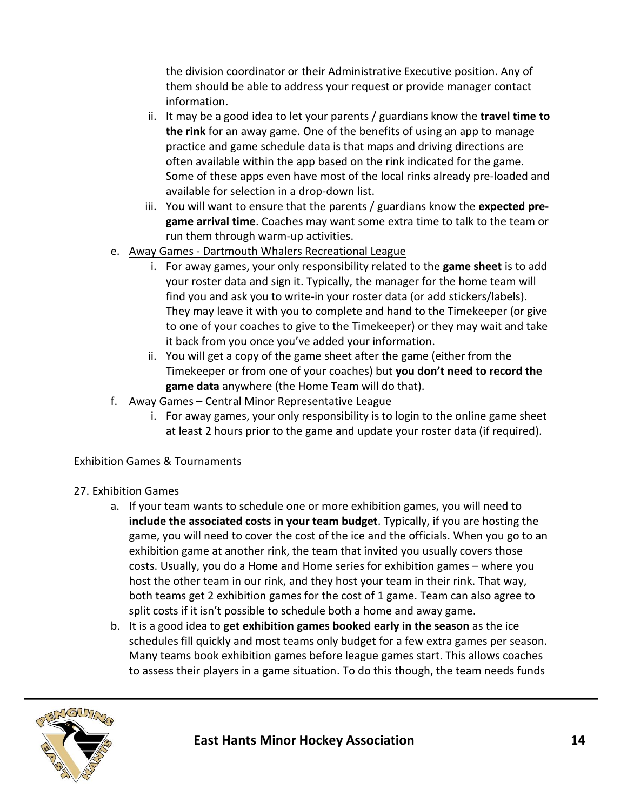the division coordinator or their Administrative Executive position. Any of them should be able to address your request or provide manager contact information.

- ii. It may be a good idea to let your parents / guardians know the **travel time to the rink** for an away game. One of the benefits of using an app to manage practice and game schedule data is that maps and driving directions are often available within the app based on the rink indicated for the game. Some of these apps even have most of the local rinks already pre-loaded and available for selection in a drop-down list.
- iii. You will want to ensure that the parents / guardians know the **expected pregame arrival time**. Coaches may want some extra time to talk to the team or run them through warm-up activities.
- e. Away Games Dartmouth Whalers Recreational League
	- i. For away games, your only responsibility related to the **game sheet** is to add your roster data and sign it. Typically, the manager for the home team will find you and ask you to write-in your roster data (or add stickers/labels). They may leave it with you to complete and hand to the Timekeeper (or give to one of your coaches to give to the Timekeeper) or they may wait and take it back from you once you've added your information.
	- ii. You will get a copy of the game sheet after the game (either from the Timekeeper or from one of your coaches) but **you don't need to record the game data** anywhere (the Home Team will do that).
- f. Away Games Central Minor Representative League
	- i. For away games, your only responsibility is to login to the online game sheet at least 2 hours prior to the game and update your roster data (if required).

# Exhibition Games & Tournaments

- 27. Exhibition Games
	- a. If your team wants to schedule one or more exhibition games, you will need to **include the associated costs in your team budget**. Typically, if you are hosting the game, you will need to cover the cost of the ice and the officials. When you go to an exhibition game at another rink, the team that invited you usually covers those costs. Usually, you do a Home and Home series for exhibition games – where you host the other team in our rink, and they host your team in their rink. That way, both teams get 2 exhibition games for the cost of 1 game. Team can also agree to split costs if it isn't possible to schedule both a home and away game.
	- b. It is a good idea to **get exhibition games booked early in the season** as the ice schedules fill quickly and most teams only budget for a few extra games per season. Many teams book exhibition games before league games start. This allows coaches to assess their players in a game situation. To do this though, the team needs funds

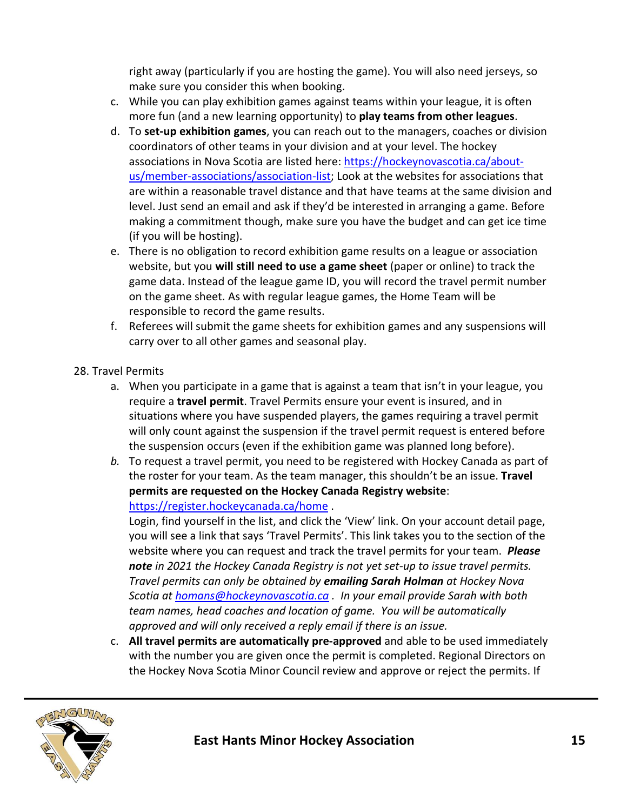right away (particularly if you are hosting the game). You will also need jerseys, so make sure you consider this when booking.

- c. While you can play exhibition games against teams within your league, it is often more fun (and a new learning opportunity) to **play teams from other leagues**.
- d. To **set-up exhibition games**, you can reach out to the managers, coaches or division coordinators of other teams in your division and at your level. The hockey associations in Nova Scotia are listed here: [https://hockeynovascotia.ca/about](https://hockeynovascotia.ca/about-us/member-associations/association-list)[us/member-associations/association-list;](https://hockeynovascotia.ca/about-us/member-associations/association-list) Look at the websites for associations that are within a reasonable travel distance and that have teams at the same division and level. Just send an email and ask if they'd be interested in arranging a game. Before making a commitment though, make sure you have the budget and can get ice time (if you will be hosting).
- e. There is no obligation to record exhibition game results on a league or association website, but you **will still need to use a game sheet** (paper or online) to track the game data. Instead of the league game ID, you will record the travel permit number on the game sheet. As with regular league games, the Home Team will be responsible to record the game results.
- f. Referees will submit the game sheets for exhibition games and any suspensions will carry over to all other games and seasonal play.
- 28. Travel Permits
	- a. When you participate in a game that is against a team that isn't in your league, you require a **travel permit**. Travel Permits ensure your event is insured, and in situations where you have suspended players, the games requiring a travel permit will only count against the suspension if the travel permit request is entered before the suspension occurs (even if the exhibition game was planned long before).
	- *b.* To request a travel permit, you need to be registered with Hockey Canada as part of the roster for your team. As the team manager, this shouldn't be an issue. **Travel permits are requested on the Hockey Canada Registry website**:

<https://register.hockeycanada.ca/home>.

Login, find yourself in the list, and click the 'View' link. On your account detail page, you will see a link that says 'Travel Permits'. This link takes you to the section of the website where you can request and track the travel permits for your team. *Please note in 2021 the Hockey Canada Registry is not yet set-up to issue travel permits. Travel permits can only be obtained by emailing Sarah Holman at Hockey Nova Scotia at [homans@hockeynovascotia.ca](mailto:homans@hockeynovascotia.ca) . In your email provide Sarah with both team names, head coaches and location of game. You will be automatically approved and will only received a reply email if there is an issue.*

c. **All travel permits are automatically pre-approved** and able to be used immediately with the number you are given once the permit is completed. Regional Directors on the Hockey Nova Scotia Minor Council review and approve or reject the permits. If

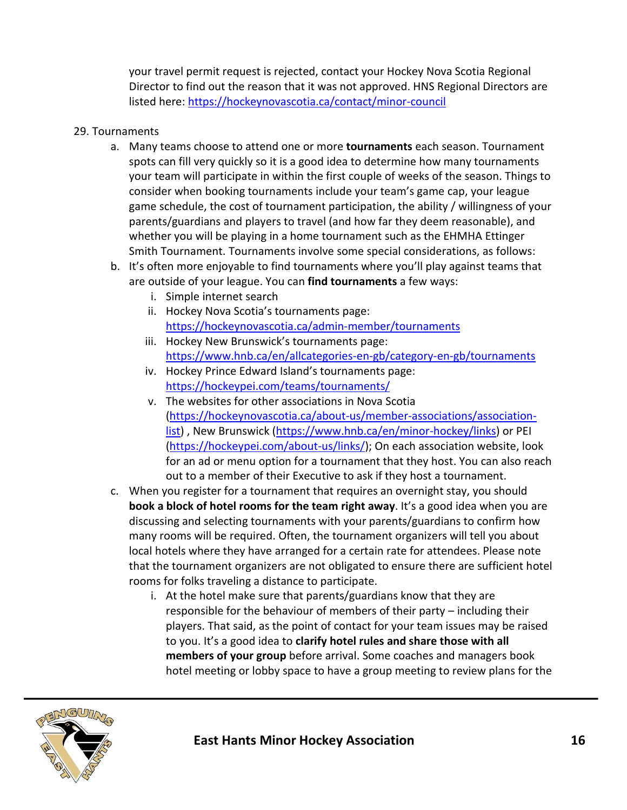your travel permit request is rejected, contact your Hockey Nova Scotia Regional Director to find out the reason that it was not approved. HNS Regional Directors are listed here:<https://hockeynovascotia.ca/contact/minor-council>

#### 29. Tournaments

- a. Many teams choose to attend one or more **tournaments** each season. Tournament spots can fill very quickly so it is a good idea to determine how many tournaments your team will participate in within the first couple of weeks of the season. Things to consider when booking tournaments include your team's game cap, your league game schedule, the cost of tournament participation, the ability / willingness of your parents/guardians and players to travel (and how far they deem reasonable), and whether you will be playing in a home tournament such as the EHMHA Ettinger Smith Tournament. Tournaments involve some special considerations, as follows:
- b. It's often more enjoyable to find tournaments where you'll play against teams that are outside of your league. You can **find tournaments** a few ways:
	- i. Simple internet search
	- ii. Hockey Nova Scotia's tournaments page: <https://hockeynovascotia.ca/admin-member/tournaments>
	- iii. Hockey New Brunswick's tournaments page: <https://www.hnb.ca/en/allcategories-en-gb/category-en-gb/tournaments>
	- iv. Hockey Prince Edward Island's tournaments page: <https://hockeypei.com/teams/tournaments/>
	- v. The websites for other associations in Nova Scotia [\(https://hockeynovascotia.ca/about-us/member-associations/association](https://hockeynovascotia.ca/about-us/member-associations/association-list)[list\)](https://hockeynovascotia.ca/about-us/member-associations/association-list), New Brunswick [\(https://www.hnb.ca/en/minor-hockey/links\)](https://www.hnb.ca/en/minor-hockey/links) or PEI [\(https://hockeypei.com/about-us/links/\)](https://hockeypei.com/about-us/links/); On each association website, look for an ad or menu option for a tournament that they host. You can also reach out to a member of their Executive to ask if they host a tournament.
- c. When you register for a tournament that requires an overnight stay, you should **book a block of hotel rooms for the team right away**. It's a good idea when you are discussing and selecting tournaments with your parents/guardians to confirm how many rooms will be required. Often, the tournament organizers will tell you about local hotels where they have arranged for a certain rate for attendees. Please note that the tournament organizers are not obligated to ensure there are sufficient hotel rooms for folks traveling a distance to participate.
	- i. At the hotel make sure that parents/guardians know that they are responsible for the behaviour of members of their party – including their players. That said, as the point of contact for your team issues may be raised to you. It's a good idea to **clarify hotel rules and share those with all members of your group** before arrival. Some coaches and managers book hotel meeting or lobby space to have a group meeting to review plans for the

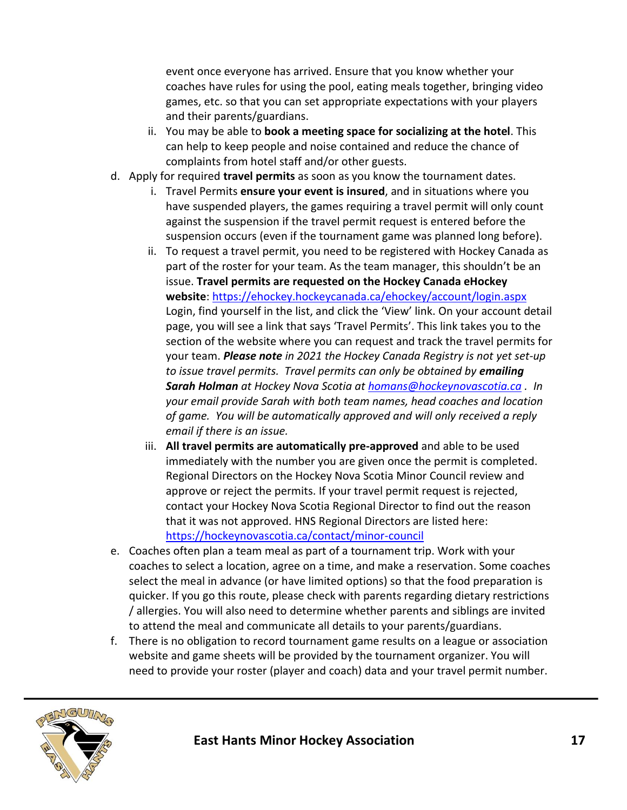event once everyone has arrived. Ensure that you know whether your coaches have rules for using the pool, eating meals together, bringing video games, etc. so that you can set appropriate expectations with your players and their parents/guardians.

- ii. You may be able to **book a meeting space for socializing at the hotel**. This can help to keep people and noise contained and reduce the chance of complaints from hotel staff and/or other guests.
- d. Apply for required **travel permits** as soon as you know the tournament dates.
	- i. Travel Permits **ensure your event is insured**, and in situations where you have suspended players, the games requiring a travel permit will only count against the suspension if the travel permit request is entered before the suspension occurs (even if the tournament game was planned long before).
	- ii. To request a travel permit, you need to be registered with Hockey Canada as part of the roster for your team. As the team manager, this shouldn't be an issue. **Travel permits are requested on the Hockey Canada eHockey website**:<https://ehockey.hockeycanada.ca/ehockey/account/login.aspx> Login, find yourself in the list, and click the 'View' link. On your account detail page, you will see a link that says 'Travel Permits'. This link takes you to the section of the website where you can request and track the travel permits for your team. *Please note in 2021 the Hockey Canada Registry is not yet set-up to issue travel permits. Travel permits can only be obtained by emailing Sarah Holman at Hockey Nova Scotia at [homans@hockeynovascotia.ca](mailto:homans@hockeynovascotia.ca) . In your email provide Sarah with both team names, head coaches and location of game. You will be automatically approved and will only received a reply email if there is an issue.*
	- iii. **All travel permits are automatically pre-approved** and able to be used immediately with the number you are given once the permit is completed. Regional Directors on the Hockey Nova Scotia Minor Council review and approve or reject the permits. If your travel permit request is rejected, contact your Hockey Nova Scotia Regional Director to find out the reason that it was not approved. HNS Regional Directors are listed here: <https://hockeynovascotia.ca/contact/minor-council>
- e. Coaches often plan a team meal as part of a tournament trip. Work with your coaches to select a location, agree on a time, and make a reservation. Some coaches select the meal in advance (or have limited options) so that the food preparation is quicker. If you go this route, please check with parents regarding dietary restrictions / allergies. You will also need to determine whether parents and siblings are invited to attend the meal and communicate all details to your parents/guardians.
- f. There is no obligation to record tournament game results on a league or association website and game sheets will be provided by the tournament organizer. You will need to provide your roster (player and coach) data and your travel permit number.

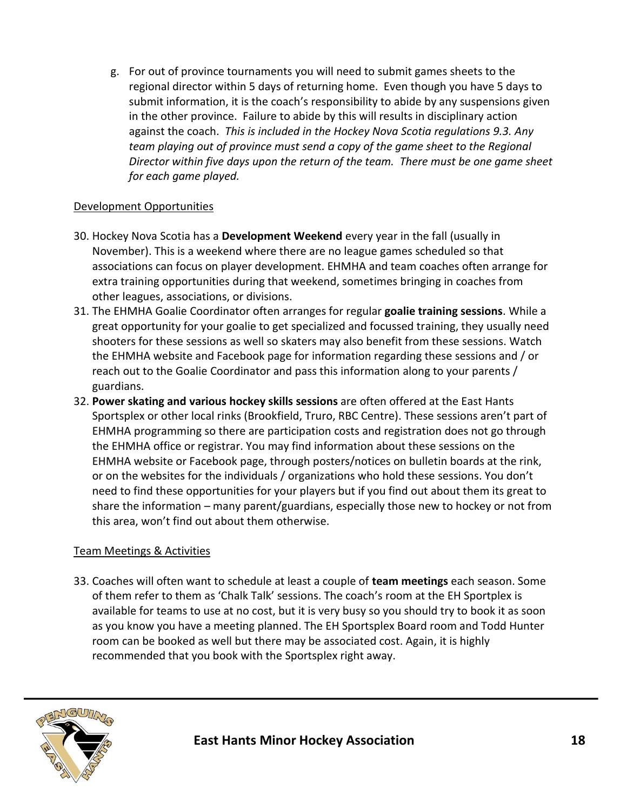g. For out of province tournaments you will need to submit games sheets to the regional director within 5 days of returning home. Even though you have 5 days to submit information, it is the coach's responsibility to abide by any suspensions given in the other province. Failure to abide by this will results in disciplinary action against the coach. *This is included in the Hockey Nova Scotia regulations 9.3. Any team playing out of province must send a copy of the game sheet to the Regional Director within five days upon the return of the team. There must be one game sheet for each game played.*

#### Development Opportunities

- 30. Hockey Nova Scotia has a **Development Weekend** every year in the fall (usually in November). This is a weekend where there are no league games scheduled so that associations can focus on player development. EHMHA and team coaches often arrange for extra training opportunities during that weekend, sometimes bringing in coaches from other leagues, associations, or divisions.
- 31. The EHMHA Goalie Coordinator often arranges for regular **goalie training sessions**. While a great opportunity for your goalie to get specialized and focussed training, they usually need shooters for these sessions as well so skaters may also benefit from these sessions. Watch the EHMHA website and Facebook page for information regarding these sessions and / or reach out to the Goalie Coordinator and pass this information along to your parents / guardians.
- 32. **Power skating and various hockey skills sessions** are often offered at the East Hants Sportsplex or other local rinks (Brookfield, Truro, RBC Centre). These sessions aren't part of EHMHA programming so there are participation costs and registration does not go through the EHMHA office or registrar. You may find information about these sessions on the EHMHA website or Facebook page, through posters/notices on bulletin boards at the rink, or on the websites for the individuals / organizations who hold these sessions. You don't need to find these opportunities for your players but if you find out about them its great to share the information – many parent/guardians, especially those new to hockey or not from this area, won't find out about them otherwise.

## Team Meetings & Activities

33. Coaches will often want to schedule at least a couple of **team meetings** each season. Some of them refer to them as 'Chalk Talk' sessions. The coach's room at the EH Sportplex is available for teams to use at no cost, but it is very busy so you should try to book it as soon as you know you have a meeting planned. The EH Sportsplex Board room and Todd Hunter room can be booked as well but there may be associated cost. Again, it is highly recommended that you book with the Sportsplex right away.